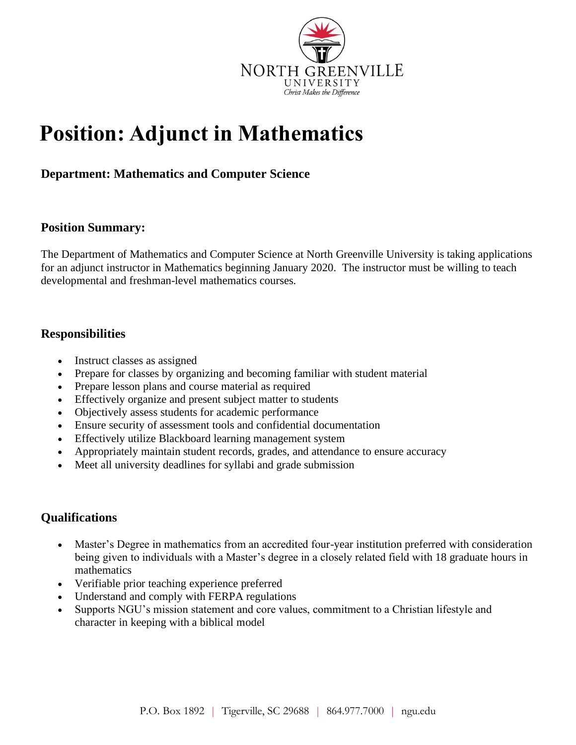

# **Position: Adjunct in Mathematics**

## **Department: Mathematics and Computer Science**

### **Position Summary:**

The Department of Mathematics and Computer Science at North Greenville University is taking applications for an adjunct instructor in Mathematics beginning January 2020. The instructor must be willing to teach developmental and freshman-level mathematics courses.

### **Responsibilities**

- Instruct classes as assigned
- Prepare for classes by organizing and becoming familiar with student material
- Prepare lesson plans and course material as required
- Effectively organize and present subject matter to students
- Objectively assess students for academic performance
- Ensure security of assessment tools and confidential documentation
- Effectively utilize Blackboard learning management system
- Appropriately maintain student records, grades, and attendance to ensure accuracy
- Meet all university deadlines for syllabi and grade submission

## **Qualifications**

- Master's Degree in mathematics from an accredited four-year institution preferred with consideration being given to individuals with a Master's degree in a closely related field with 18 graduate hours in mathematics
- Verifiable prior teaching experience preferred
- Understand and comply with FERPA regulations
- Supports NGU's mission statement and core values, commitment to a Christian lifestyle and character in keeping with a biblical model